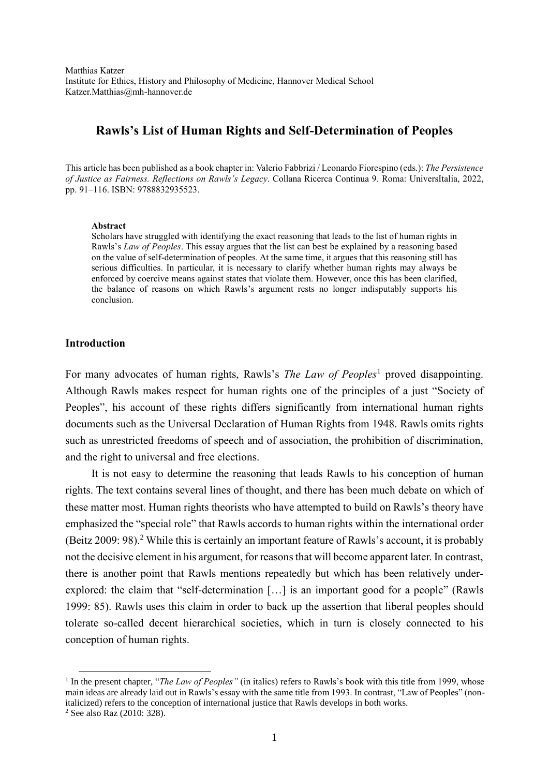Matthias Katzer Institute for Ethics, History and Philosophy of Medicine, Hannover Medical School Katzer.Matthias@mh-hannover.de

# **Rawls's List of Human Rights and Self-Determination of Peoples**

This article has been published as a book chapter in: Valerio Fabbrizi / Leonardo Fiorespino (eds.): *The Persistence of Justice as Fairness. Reflections on Rawls's Legacy*. Collana Ricerca Continua 9. Roma: UniversItalia, 2022, pp. 91–116. ISBN: 9788832935523.

#### **Abstract**

Scholars have struggled with identifying the exact reasoning that leads to the list of human rights in Rawls's *Law of Peoples*. This essay argues that the list can best be explained by a reasoning based on the value of self-determination of peoples. At the same time, it argues that this reasoning still has serious difficulties. In particular, it is necessary to clarify whether human rights may always be enforced by coercive means against states that violate them. However, once this has been clarified, the balance of reasons on which Rawls's argument rests no longer indisputably supports his conclusion.

### **Introduction**

For many advocates of human rights, Rawls's *The Law of Peoples*<sup>1</sup> proved disappointing. Although Rawls makes respect for human rights one of the principles of a just "Society of Peoples", his account of these rights differs significantly from international human rights documents such as the Universal Declaration of Human Rights from 1948. Rawls omits rights such as unrestricted freedoms of speech and of association, the prohibition of discrimination, and the right to universal and free elections.

It is not easy to determine the reasoning that leads Rawls to his conception of human rights. The text contains several lines of thought, and there has been much debate on which of these matter most. Human rights theorists who have attempted to build on Rawls's theory have emphasized the "special role" that Rawls accords to human rights within the international order (Beitz 2009: 98).<sup>2</sup> While this is certainly an important feature of Rawls's account, it is probably not the decisive element in his argument, for reasons that will become apparent later. In contrast, there is another point that Rawls mentions repeatedly but which has been relatively underexplored: the claim that "self-determination […] is an important good for a people" (Rawls 1999: 85). Rawls uses this claim in order to back up the assertion that liberal peoples should tolerate so-called decent hierarchical societies, which in turn is closely connected to his conception of human rights.

**.** 

<sup>&</sup>lt;sup>1</sup> In the present chapter, "*The Law of Peoples*" (in italics) refers to Rawls's book with this title from 1999, whose main ideas are already laid out in Rawls's essay with the same title from 1993. In contrast, "Law of Peoples" (nonitalicized) refers to the conception of international justice that Rawls develops in both works.

<sup>2</sup> See also Raz (2010: 328).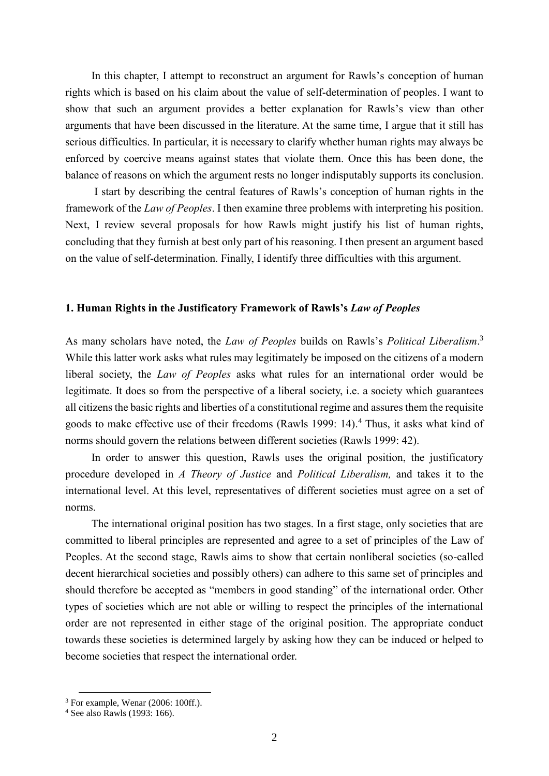In this chapter, I attempt to reconstruct an argument for Rawls's conception of human rights which is based on his claim about the value of self-determination of peoples. I want to show that such an argument provides a better explanation for Rawls's view than other arguments that have been discussed in the literature. At the same time, I argue that it still has serious difficulties. In particular, it is necessary to clarify whether human rights may always be enforced by coercive means against states that violate them. Once this has been done, the balance of reasons on which the argument rests no longer indisputably supports its conclusion.

I start by describing the central features of Rawls's conception of human rights in the framework of the *Law of Peoples*. I then examine three problems with interpreting his position. Next, I review several proposals for how Rawls might justify his list of human rights, concluding that they furnish at best only part of his reasoning. I then present an argument based on the value of self-determination. Finally, I identify three difficulties with this argument.

### **1. Human Rights in the Justificatory Framework of Rawls's** *Law of Peoples*

As many scholars have noted, the *Law of Peoples* builds on Rawls's *Political Liberalism*. 3 While this latter work asks what rules may legitimately be imposed on the citizens of a modern liberal society, the *Law of Peoples* asks what rules for an international order would be legitimate. It does so from the perspective of a liberal society, i.e. a society which guarantees all citizens the basic rights and liberties of a constitutional regime and assures them the requisite goods to make effective use of their freedoms (Rawls 1999: 14). <sup>4</sup> Thus, it asks what kind of norms should govern the relations between different societies (Rawls 1999: 42).

In order to answer this question, Rawls uses the original position, the justificatory procedure developed in *A Theory of Justice* and *Political Liberalism,* and takes it to the international level. At this level, representatives of different societies must agree on a set of norms.

The international original position has two stages. In a first stage, only societies that are committed to liberal principles are represented and agree to a set of principles of the Law of Peoples. At the second stage, Rawls aims to show that certain nonliberal societies (so-called decent hierarchical societies and possibly others) can adhere to this same set of principles and should therefore be accepted as "members in good standing" of the international order. Other types of societies which are not able or willing to respect the principles of the international order are not represented in either stage of the original position. The appropriate conduct towards these societies is determined largely by asking how they can be induced or helped to become societies that respect the international order.

 $\overline{\phantom{a}}$ 

<sup>&</sup>lt;sup>3</sup> For example, Wenar (2006: 100ff.).

<sup>4</sup> See also Rawls (1993: 166).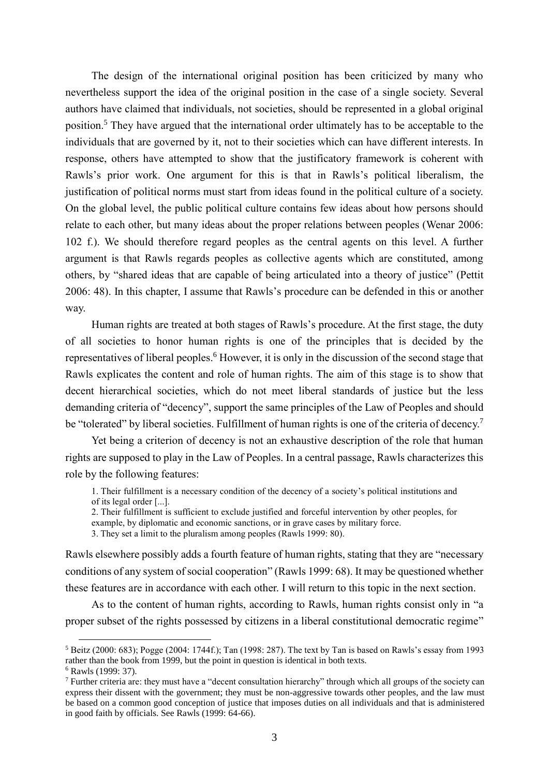The design of the international original position has been criticized by many who nevertheless support the idea of the original position in the case of a single society. Several authors have claimed that individuals, not societies, should be represented in a global original position.<sup>5</sup> They have argued that the international order ultimately has to be acceptable to the individuals that are governed by it, not to their societies which can have different interests. In response, others have attempted to show that the justificatory framework is coherent with Rawls's prior work. One argument for this is that in Rawls's political liberalism, the justification of political norms must start from ideas found in the political culture of a society. On the global level, the public political culture contains few ideas about how persons should relate to each other, but many ideas about the proper relations between peoples (Wenar 2006: 102 f.). We should therefore regard peoples as the central agents on this level. A further argument is that Rawls regards peoples as collective agents which are constituted, among others, by "shared ideas that are capable of being articulated into a theory of justice" (Pettit 2006: 48). In this chapter, I assume that Rawls's procedure can be defended in this or another way.

Human rights are treated at both stages of Rawls's procedure. At the first stage, the duty of all societies to honor human rights is one of the principles that is decided by the representatives of liberal peoples.<sup>6</sup> However, it is only in the discussion of the second stage that Rawls explicates the content and role of human rights. The aim of this stage is to show that decent hierarchical societies, which do not meet liberal standards of justice but the less demanding criteria of "decency", support the same principles of the Law of Peoples and should be "tolerated" by liberal societies. Fulfillment of human rights is one of the criteria of decency.<sup>7</sup>

Yet being a criterion of decency is not an exhaustive description of the role that human rights are supposed to play in the Law of Peoples. In a central passage, Rawls characterizes this role by the following features:

1. Their fulfillment is a necessary condition of the decency of a society's political institutions and of its legal order [...].

2. Their fulfillment is sufficient to exclude justified and forceful intervention by other peoples, for example, by diplomatic and economic sanctions, or in grave cases by military force.

3. They set a limit to the pluralism among peoples (Rawls 1999: 80).

Rawls elsewhere possibly adds a fourth feature of human rights, stating that they are "necessary conditions of any system of social cooperation" (Rawls 1999: 68). It may be questioned whether these features are in accordance with each other. I will return to this topic in the next section.

As to the content of human rights, according to Rawls, human rights consist only in "a proper subset of the rights possessed by citizens in a liberal constitutional democratic regime"

<sup>5</sup> Beitz (2000: 683); Pogge (2004: 1744f.); Tan (1998: 287). The text by Tan is based on Rawls's essay from 1993 rather than the book from 1999, but the point in question is identical in both texts.

<sup>6</sup> Rawls (1999: 37).

<sup>7</sup> Further criteria are: they must have a "decent consultation hierarchy" through which all groups of the society can express their dissent with the government; they must be non-aggressive towards other peoples, and the law must be based on a common good conception of justice that imposes duties on all individuals and that is administered in good faith by officials. See Rawls (1999: 64-66).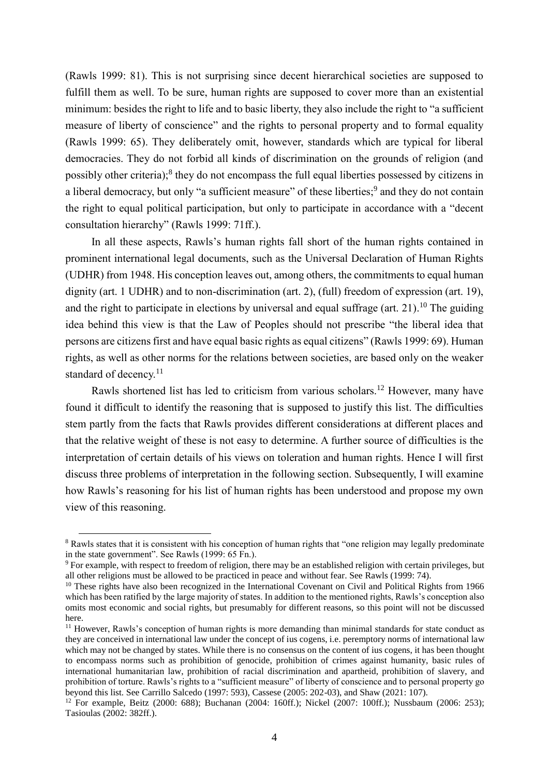(Rawls 1999: 81). This is not surprising since decent hierarchical societies are supposed to fulfill them as well. To be sure, human rights are supposed to cover more than an existential minimum: besides the right to life and to basic liberty, they also include the right to "a sufficient measure of liberty of conscience" and the rights to personal property and to formal equality (Rawls 1999: 65). They deliberately omit, however, standards which are typical for liberal democracies. They do not forbid all kinds of discrimination on the grounds of religion (and possibly other criteria);<sup>8</sup> they do not encompass the full equal liberties possessed by citizens in a liberal democracy, but only "a sufficient measure" of these liberties;<sup>9</sup> and they do not contain the right to equal political participation, but only to participate in accordance with a "decent consultation hierarchy" (Rawls 1999: 71ff.).

In all these aspects, Rawls's human rights fall short of the human rights contained in prominent international legal documents, such as the Universal Declaration of Human Rights (UDHR) from 1948. His conception leaves out, among others, the commitments to equal human dignity (art. 1 UDHR) and to non-discrimination (art. 2), (full) freedom of expression (art. 19), and the right to participate in elections by universal and equal suffrage (art. 21).<sup>10</sup> The guiding idea behind this view is that the Law of Peoples should not prescribe "the liberal idea that persons are citizens first and have equal basic rights as equal citizens" (Rawls 1999: 69). Human rights, as well as other norms for the relations between societies, are based only on the weaker standard of decency.<sup>11</sup>

Rawls shortened list has led to criticism from various scholars.<sup>12</sup> However, many have found it difficult to identify the reasoning that is supposed to justify this list. The difficulties stem partly from the facts that Rawls provides different considerations at different places and that the relative weight of these is not easy to determine. A further source of difficulties is the interpretation of certain details of his views on toleration and human rights. Hence I will first discuss three problems of interpretation in the following section. Subsequently, I will examine how Rawls's reasoning for his list of human rights has been understood and propose my own view of this reasoning.

**.** 

<sup>8</sup> Rawls states that it is consistent with his conception of human rights that "one religion may legally predominate in the state government". See Rawls (1999: 65 Fn.).

<sup>9</sup> For example, with respect to freedom of religion, there may be an established religion with certain privileges, but all other religions must be allowed to be practiced in peace and without fear. See Rawls (1999: 74).

<sup>&</sup>lt;sup>10</sup> These rights have also been recognized in the International Covenant on Civil and Political Rights from 1966 which has been ratified by the large majority of states. In addition to the mentioned rights, Rawls's conception also omits most economic and social rights, but presumably for different reasons, so this point will not be discussed here.

<sup>&</sup>lt;sup>11</sup> However, Rawls's conception of human rights is more demanding than minimal standards for state conduct as they are conceived in international law under the concept of ius cogens, i.e. peremptory norms of international law which may not be changed by states. While there is no consensus on the content of ius cogens, it has been thought to encompass norms such as prohibition of genocide, prohibition of crimes against humanity, basic rules of international humanitarian law, prohibition of racial discrimination and apartheid, prohibition of slavery, and prohibition of torture. Rawls's rights to a "sufficient measure" of liberty of conscience and to personal property go beyond this list. See Carrillo Salcedo (1997: 593), Cassese (2005: 202-03), and Shaw (2021: 107).

<sup>12</sup> For example, Beitz (2000: 688); Buchanan (2004: 160ff.); Nickel (2007: 100ff.); Nussbaum (2006: 253); Tasioulas (2002: 382ff.).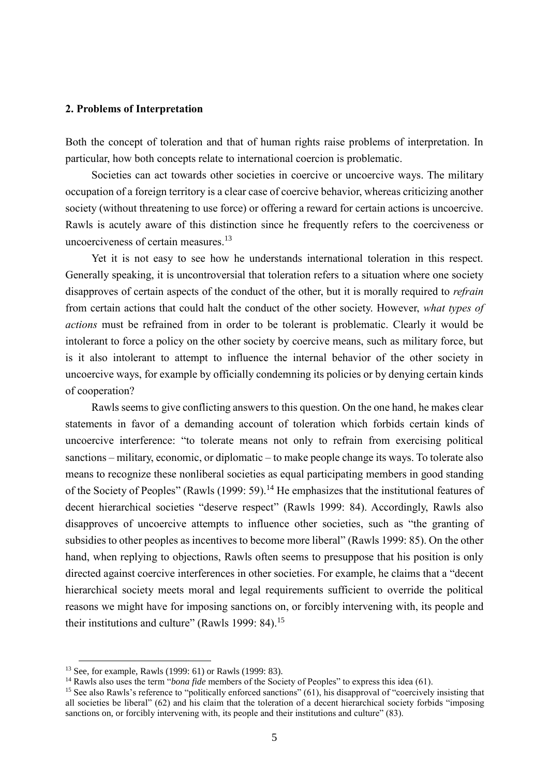### **2. Problems of Interpretation**

Both the concept of toleration and that of human rights raise problems of interpretation. In particular, how both concepts relate to international coercion is problematic.

Societies can act towards other societies in coercive or uncoercive ways. The military occupation of a foreign territory is a clear case of coercive behavior, whereas criticizing another society (without threatening to use force) or offering a reward for certain actions is uncoercive. Rawls is acutely aware of this distinction since he frequently refers to the coerciveness or uncoerciveness of certain measures.<sup>13</sup>

Yet it is not easy to see how he understands international toleration in this respect. Generally speaking, it is uncontroversial that toleration refers to a situation where one society disapproves of certain aspects of the conduct of the other, but it is morally required to *refrain* from certain actions that could halt the conduct of the other society. However, *what types of actions* must be refrained from in order to be tolerant is problematic. Clearly it would be intolerant to force a policy on the other society by coercive means, such as military force, but is it also intolerant to attempt to influence the internal behavior of the other society in uncoercive ways, for example by officially condemning its policies or by denying certain kinds of cooperation?

Rawls seems to give conflicting answers to this question. On the one hand, he makes clear statements in favor of a demanding account of toleration which forbids certain kinds of uncoercive interference: "to tolerate means not only to refrain from exercising political sanctions – military, economic, or diplomatic – to make people change its ways. To tolerate also means to recognize these nonliberal societies as equal participating members in good standing of the Society of Peoples" (Rawls (1999: 59).<sup>14</sup> He emphasizes that the institutional features of decent hierarchical societies "deserve respect" (Rawls 1999: 84). Accordingly, Rawls also disapproves of uncoercive attempts to influence other societies, such as "the granting of subsidies to other peoples as incentives to become more liberal" (Rawls 1999: 85). On the other hand, when replying to objections, Rawls often seems to presuppose that his position is only directed against coercive interferences in other societies. For example, he claims that a "decent hierarchical society meets moral and legal requirements sufficient to override the political reasons we might have for imposing sanctions on, or forcibly intervening with, its people and their institutions and culture" (Rawls 1999: 84).<sup>15</sup>

<sup>13</sup> See, for example, Rawls (1999: 61) or Rawls (1999: 83).

<sup>&</sup>lt;sup>14</sup> Rawls also uses the term "*bona fide* members of the Society of Peoples" to express this idea (61).

<sup>15</sup> See also Rawls's reference to "politically enforced sanctions" (61), his disapproval of "coercively insisting that all societies be liberal" (62) and his claim that the toleration of a decent hierarchical society forbids "imposing sanctions on, or forcibly intervening with, its people and their institutions and culture" (83).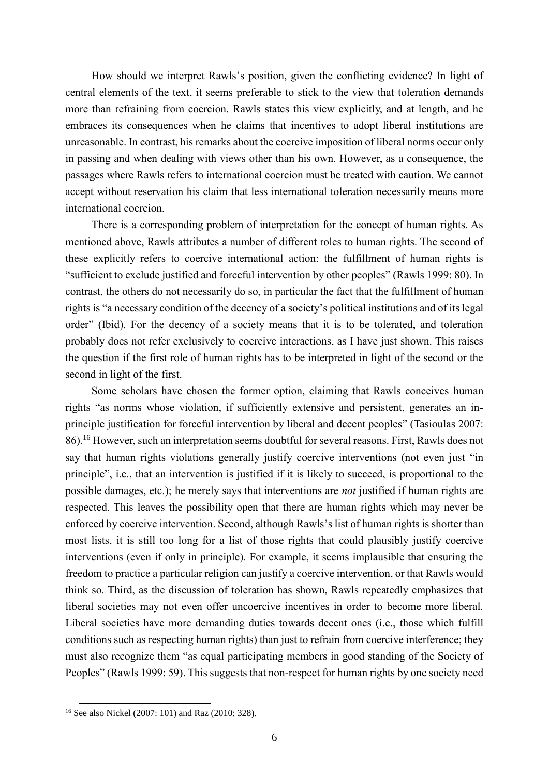How should we interpret Rawls's position, given the conflicting evidence? In light of central elements of the text, it seems preferable to stick to the view that toleration demands more than refraining from coercion. Rawls states this view explicitly, and at length, and he embraces its consequences when he claims that incentives to adopt liberal institutions are unreasonable. In contrast, his remarks about the coercive imposition of liberal norms occur only in passing and when dealing with views other than his own. However, as a consequence, the passages where Rawls refers to international coercion must be treated with caution. We cannot accept without reservation his claim that less international toleration necessarily means more international coercion.

There is a corresponding problem of interpretation for the concept of human rights. As mentioned above, Rawls attributes a number of different roles to human rights. The second of these explicitly refers to coercive international action: the fulfillment of human rights is "sufficient to exclude justified and forceful intervention by other peoples" (Rawls 1999: 80). In contrast, the others do not necessarily do so, in particular the fact that the fulfillment of human rights is "a necessary condition of the decency of a society's political institutions and of its legal order" (Ibid). For the decency of a society means that it is to be tolerated, and toleration probably does not refer exclusively to coercive interactions, as I have just shown. This raises the question if the first role of human rights has to be interpreted in light of the second or the second in light of the first.

Some scholars have chosen the former option, claiming that Rawls conceives human rights "as norms whose violation, if sufficiently extensive and persistent, generates an inprinciple justification for forceful intervention by liberal and decent peoples" (Tasioulas 2007: 86).<sup>16</sup> However, such an interpretation seems doubtful for several reasons. First, Rawls does not say that human rights violations generally justify coercive interventions (not even just "in principle", i.e., that an intervention is justified if it is likely to succeed, is proportional to the possible damages, etc.); he merely says that interventions are *not* justified if human rights are respected. This leaves the possibility open that there are human rights which may never be enforced by coercive intervention. Second, although Rawls's list of human rights is shorter than most lists, it is still too long for a list of those rights that could plausibly justify coercive interventions (even if only in principle). For example, it seems implausible that ensuring the freedom to practice a particular religion can justify a coercive intervention, or that Rawls would think so. Third, as the discussion of toleration has shown, Rawls repeatedly emphasizes that liberal societies may not even offer uncoercive incentives in order to become more liberal. Liberal societies have more demanding duties towards decent ones (i.e., those which fulfill conditions such as respecting human rights) than just to refrain from coercive interference; they must also recognize them "as equal participating members in good standing of the Society of Peoples" (Rawls 1999: 59). This suggests that non-respect for human rights by one society need

<sup>&</sup>lt;sup>16</sup> See also Nickel (2007: 101) and Raz (2010: 328).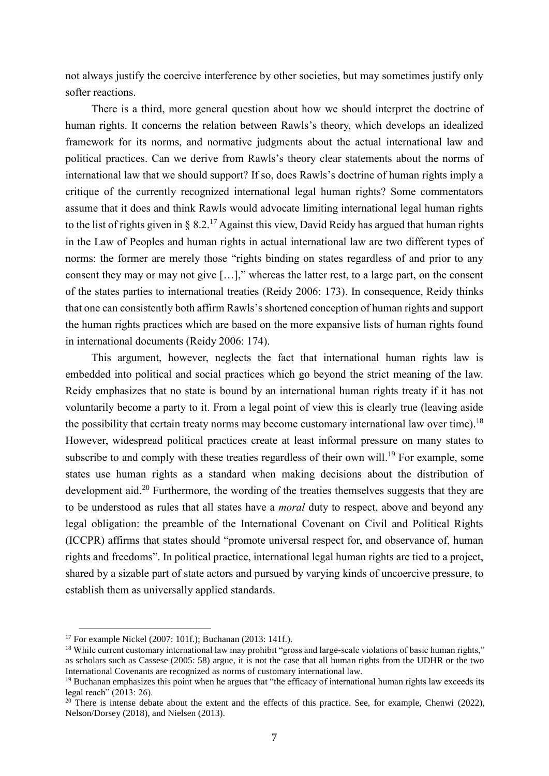not always justify the coercive interference by other societies, but may sometimes justify only softer reactions.

There is a third, more general question about how we should interpret the doctrine of human rights. It concerns the relation between Rawls's theory, which develops an idealized framework for its norms, and normative judgments about the actual international law and political practices. Can we derive from Rawls's theory clear statements about the norms of international law that we should support? If so, does Rawls's doctrine of human rights imply a critique of the currently recognized international legal human rights? Some commentators assume that it does and think Rawls would advocate limiting international legal human rights to the list of rights given in § 8.2.<sup>17</sup> Against this view, David Reidy has argued that human rights in the Law of Peoples and human rights in actual international law are two different types of norms: the former are merely those "rights binding on states regardless of and prior to any consent they may or may not give […]," whereas the latter rest, to a large part, on the consent of the states parties to international treaties (Reidy 2006: 173). In consequence, Reidy thinks that one can consistently both affirm Rawls's shortened conception of human rights and support the human rights practices which are based on the more expansive lists of human rights found in international documents (Reidy 2006: 174).

This argument, however, neglects the fact that international human rights law is embedded into political and social practices which go beyond the strict meaning of the law. Reidy emphasizes that no state is bound by an international human rights treaty if it has not voluntarily become a party to it. From a legal point of view this is clearly true (leaving aside the possibility that certain treaty norms may become customary international law over time).<sup>18</sup> However, widespread political practices create at least informal pressure on many states to subscribe to and comply with these treaties regardless of their own will.<sup>19</sup> For example, some states use human rights as a standard when making decisions about the distribution of development aid.<sup>20</sup> Furthermore, the wording of the treaties themselves suggests that they are to be understood as rules that all states have a *moral* duty to respect, above and beyond any legal obligation: the preamble of the International Covenant on Civil and Political Rights (ICCPR) affirms that states should "promote universal respect for, and observance of, human rights and freedoms". In political practice, international legal human rights are tied to a project, shared by a sizable part of state actors and pursued by varying kinds of uncoercive pressure, to establish them as universally applied standards.

<sup>17</sup> For example Nickel (2007: 101f.); Buchanan (2013: 141f.).

<sup>&</sup>lt;sup>18</sup> While current customary international law may prohibit "gross and large-scale violations of basic human rights," as scholars such as Cassese (2005: 58) argue, it is not the case that all human rights from the UDHR or the two International Covenants are recognized as norms of customary international law.

 $19$  Buchanan emphasizes this point when he argues that "the efficacy of international human rights law exceeds its legal reach" (2013: 26).

<sup>&</sup>lt;sup>20</sup> There is intense debate about the extent and the effects of this practice. See, for example, Chenwi (2022), Nelson/Dorsey (2018), and Nielsen (2013).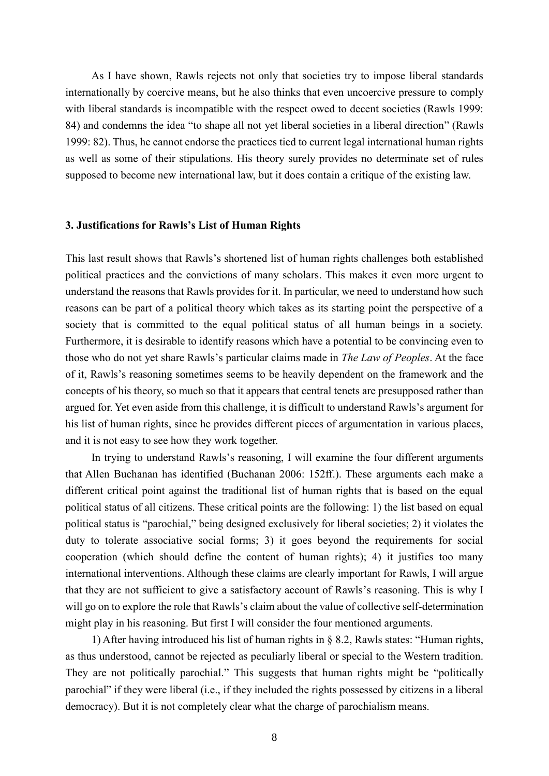As I have shown, Rawls rejects not only that societies try to impose liberal standards internationally by coercive means, but he also thinks that even uncoercive pressure to comply with liberal standards is incompatible with the respect owed to decent societies (Rawls 1999: 84) and condemns the idea "to shape all not yet liberal societies in a liberal direction" (Rawls 1999: 82). Thus, he cannot endorse the practices tied to current legal international human rights as well as some of their stipulations. His theory surely provides no determinate set of rules supposed to become new international law, but it does contain a critique of the existing law.

#### **3. Justifications for Rawls's List of Human Rights**

This last result shows that Rawls's shortened list of human rights challenges both established political practices and the convictions of many scholars. This makes it even more urgent to understand the reasons that Rawls provides for it. In particular, we need to understand how such reasons can be part of a political theory which takes as its starting point the perspective of a society that is committed to the equal political status of all human beings in a society. Furthermore, it is desirable to identify reasons which have a potential to be convincing even to those who do not yet share Rawls's particular claims made in *The Law of Peoples*. At the face of it, Rawls's reasoning sometimes seems to be heavily dependent on the framework and the concepts of his theory, so much so that it appears that central tenets are presupposed rather than argued for. Yet even aside from this challenge, it is difficult to understand Rawls's argument for his list of human rights, since he provides different pieces of argumentation in various places, and it is not easy to see how they work together.

In trying to understand Rawls's reasoning, I will examine the four different arguments that Allen Buchanan has identified (Buchanan 2006: 152ff.). These arguments each make a different critical point against the traditional list of human rights that is based on the equal political status of all citizens. These critical points are the following: 1) the list based on equal political status is "parochial," being designed exclusively for liberal societies; 2) it violates the duty to tolerate associative social forms; 3) it goes beyond the requirements for social cooperation (which should define the content of human rights); 4) it justifies too many international interventions. Although these claims are clearly important for Rawls, I will argue that they are not sufficient to give a satisfactory account of Rawls's reasoning. This is why I will go on to explore the role that Rawls's claim about the value of collective self-determination might play in his reasoning. But first I will consider the four mentioned arguments.

1) After having introduced his list of human rights in § 8.2, Rawls states: "Human rights, as thus understood, cannot be rejected as peculiarly liberal or special to the Western tradition. They are not politically parochial." This suggests that human rights might be "politically parochial" if they were liberal (i.e., if they included the rights possessed by citizens in a liberal democracy). But it is not completely clear what the charge of parochialism means.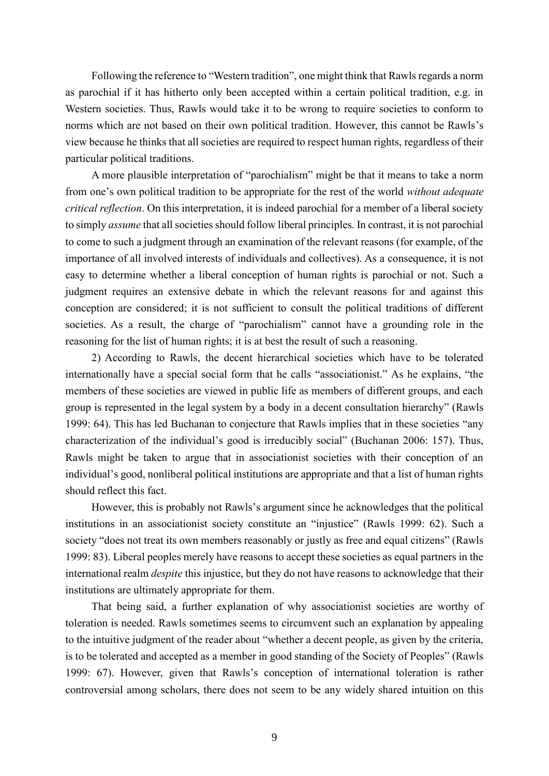Following the reference to "Western tradition", one might think that Rawls regards a norm as parochial if it has hitherto only been accepted within a certain political tradition, e.g. in Western societies. Thus, Rawls would take it to be wrong to require societies to conform to norms which are not based on their own political tradition. However, this cannot be Rawls's view because he thinks that all societies are required to respect human rights, regardless of their particular political traditions.

A more plausible interpretation of "parochialism" might be that it means to take a norm from one's own political tradition to be appropriate for the rest of the world *without adequate critical reflection*. On this interpretation, it is indeed parochial for a member of a liberal society to simply *assume* that all societies should follow liberal principles. In contrast, it is not parochial to come to such a judgment through an examination of the relevant reasons (for example, of the importance of all involved interests of individuals and collectives). As a consequence, it is not easy to determine whether a liberal conception of human rights is parochial or not. Such a judgment requires an extensive debate in which the relevant reasons for and against this conception are considered; it is not sufficient to consult the political traditions of different societies. As a result, the charge of "parochialism" cannot have a grounding role in the reasoning for the list of human rights; it is at best the result of such a reasoning.

2) According to Rawls, the decent hierarchical societies which have to be tolerated internationally have a special social form that he calls "associationist." As he explains, "the members of these societies are viewed in public life as members of different groups, and each group is represented in the legal system by a body in a decent consultation hierarchy" (Rawls 1999: 64). This has led Buchanan to conjecture that Rawls implies that in these societies "any characterization of the individual's good is irreducibly social" (Buchanan 2006: 157). Thus, Rawls might be taken to argue that in associationist societies with their conception of an individual's good, nonliberal political institutions are appropriate and that a list of human rights should reflect this fact.

However, this is probably not Rawls's argument since he acknowledges that the political institutions in an associationist society constitute an "injustice" (Rawls 1999: 62). Such a society "does not treat its own members reasonably or justly as free and equal citizens" (Rawls 1999: 83). Liberal peoples merely have reasons to accept these societies as equal partners in the international realm *despite* this injustice, but they do not have reasons to acknowledge that their institutions are ultimately appropriate for them.

That being said, a further explanation of why associationist societies are worthy of toleration is needed. Rawls sometimes seems to circumvent such an explanation by appealing to the intuitive judgment of the reader about "whether a decent people, as given by the criteria, is to be tolerated and accepted as a member in good standing of the Society of Peoples" (Rawls 1999: 67). However, given that Rawls's conception of international toleration is rather controversial among scholars, there does not seem to be any widely shared intuition on this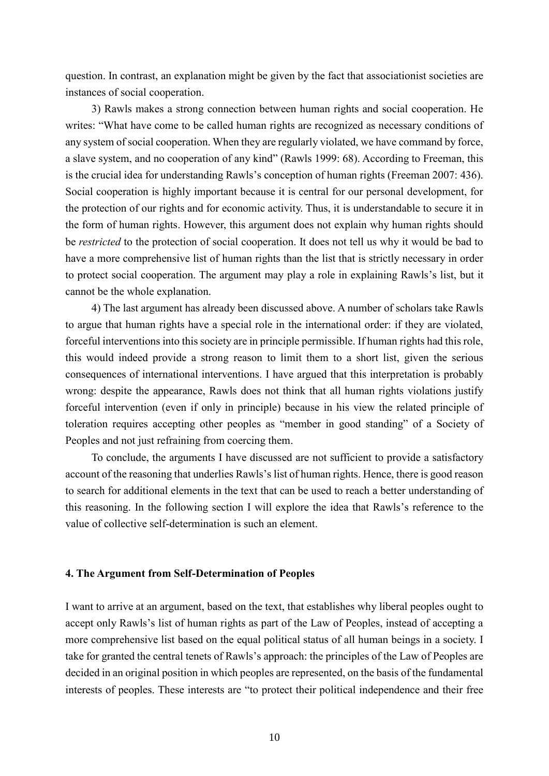question. In contrast, an explanation might be given by the fact that associationist societies are instances of social cooperation.

3) Rawls makes a strong connection between human rights and social cooperation. He writes: "What have come to be called human rights are recognized as necessary conditions of any system of social cooperation. When they are regularly violated, we have command by force, a slave system, and no cooperation of any kind" (Rawls 1999: 68). According to Freeman, this is the crucial idea for understanding Rawls's conception of human rights (Freeman 2007: 436). Social cooperation is highly important because it is central for our personal development, for the protection of our rights and for economic activity. Thus, it is understandable to secure it in the form of human rights. However, this argument does not explain why human rights should be *restricted* to the protection of social cooperation. It does not tell us why it would be bad to have a more comprehensive list of human rights than the list that is strictly necessary in order to protect social cooperation. The argument may play a role in explaining Rawls's list, but it cannot be the whole explanation.

4) The last argument has already been discussed above. A number of scholars take Rawls to argue that human rights have a special role in the international order: if they are violated, forceful interventions into this society are in principle permissible. If human rights had this role, this would indeed provide a strong reason to limit them to a short list, given the serious consequences of international interventions. I have argued that this interpretation is probably wrong: despite the appearance, Rawls does not think that all human rights violations justify forceful intervention (even if only in principle) because in his view the related principle of toleration requires accepting other peoples as "member in good standing" of a Society of Peoples and not just refraining from coercing them.

To conclude, the arguments I have discussed are not sufficient to provide a satisfactory account of the reasoning that underlies Rawls's list of human rights. Hence, there is good reason to search for additional elements in the text that can be used to reach a better understanding of this reasoning. In the following section I will explore the idea that Rawls's reference to the value of collective self-determination is such an element.

### **4. The Argument from Self-Determination of Peoples**

I want to arrive at an argument, based on the text, that establishes why liberal peoples ought to accept only Rawls's list of human rights as part of the Law of Peoples, instead of accepting a more comprehensive list based on the equal political status of all human beings in a society. I take for granted the central tenets of Rawls's approach: the principles of the Law of Peoples are decided in an original position in which peoples are represented, on the basis of the fundamental interests of peoples. These interests are "to protect their political independence and their free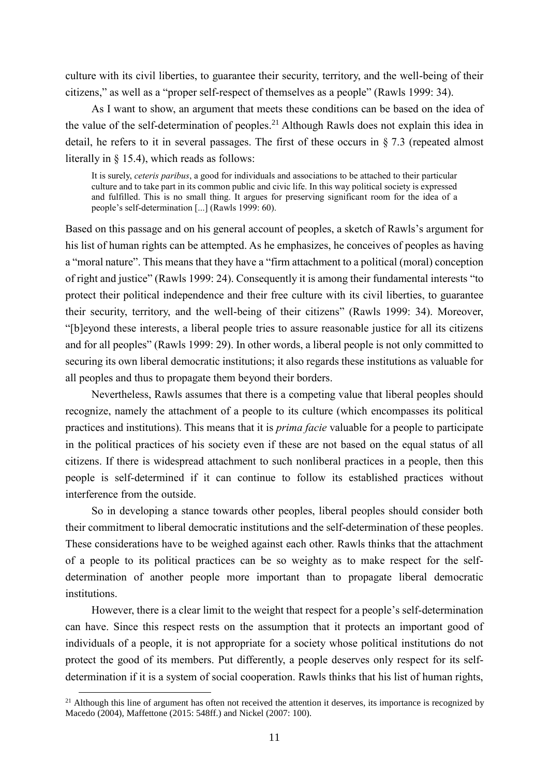culture with its civil liberties, to guarantee their security, territory, and the well-being of their citizens," as well as a "proper self-respect of themselves as a people" (Rawls 1999: 34).

As I want to show, an argument that meets these conditions can be based on the idea of the value of the self-determination of peoples.<sup>21</sup> Although Rawls does not explain this idea in detail, he refers to it in several passages. The first of these occurs in § 7.3 (repeated almost literally in § 15.4), which reads as follows:

It is surely, *ceteris paribus*, a good for individuals and associations to be attached to their particular culture and to take part in its common public and civic life. In this way political society is expressed and fulfilled. This is no small thing. It argues for preserving significant room for the idea of a people's self-determination [...] (Rawls 1999: 60).

Based on this passage and on his general account of peoples, a sketch of Rawls's argument for his list of human rights can be attempted. As he emphasizes, he conceives of peoples as having a "moral nature". This means that they have a "firm attachment to a political (moral) conception of right and justice" (Rawls 1999: 24). Consequently it is among their fundamental interests "to protect their political independence and their free culture with its civil liberties, to guarantee their security, territory, and the well-being of their citizens" (Rawls 1999: 34). Moreover, "[b]eyond these interests, a liberal people tries to assure reasonable justice for all its citizens and for all peoples" (Rawls 1999: 29). In other words, a liberal people is not only committed to securing its own liberal democratic institutions; it also regards these institutions as valuable for all peoples and thus to propagate them beyond their borders.

Nevertheless, Rawls assumes that there is a competing value that liberal peoples should recognize, namely the attachment of a people to its culture (which encompasses its political practices and institutions). This means that it is *prima facie* valuable for a people to participate in the political practices of his society even if these are not based on the equal status of all citizens. If there is widespread attachment to such nonliberal practices in a people, then this people is self-determined if it can continue to follow its established practices without interference from the outside.

So in developing a stance towards other peoples, liberal peoples should consider both their commitment to liberal democratic institutions and the self-determination of these peoples. These considerations have to be weighed against each other. Rawls thinks that the attachment of a people to its political practices can be so weighty as to make respect for the selfdetermination of another people more important than to propagate liberal democratic institutions.

However, there is a clear limit to the weight that respect for a people's self-determination can have. Since this respect rests on the assumption that it protects an important good of individuals of a people, it is not appropriate for a society whose political institutions do not protect the good of its members. Put differently, a people deserves only respect for its selfdetermination if it is a system of social cooperation. Rawls thinks that his list of human rights,

 $\overline{\phantom{a}}$ 

 $21$  Although this line of argument has often not received the attention it deserves, its importance is recognized by Macedo (2004), Maffettone (2015: 548ff.) and Nickel (2007: 100).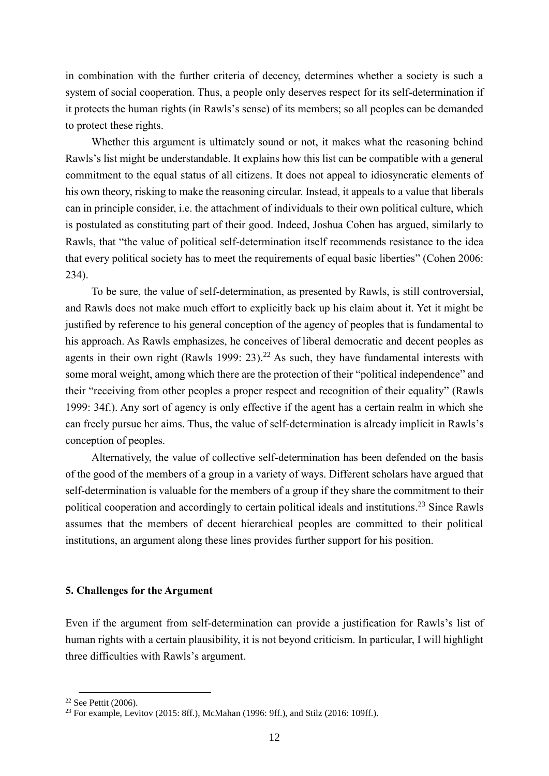in combination with the further criteria of decency, determines whether a society is such a system of social cooperation. Thus, a people only deserves respect for its self-determination if it protects the human rights (in Rawls's sense) of its members; so all peoples can be demanded to protect these rights.

Whether this argument is ultimately sound or not, it makes what the reasoning behind Rawls's list might be understandable. It explains how this list can be compatible with a general commitment to the equal status of all citizens. It does not appeal to idiosyncratic elements of his own theory, risking to make the reasoning circular. Instead, it appeals to a value that liberals can in principle consider, i.e. the attachment of individuals to their own political culture, which is postulated as constituting part of their good. Indeed, Joshua Cohen has argued, similarly to Rawls, that "the value of political self-determination itself recommends resistance to the idea that every political society has to meet the requirements of equal basic liberties" (Cohen 2006: 234).

To be sure, the value of self-determination, as presented by Rawls, is still controversial, and Rawls does not make much effort to explicitly back up his claim about it. Yet it might be justified by reference to his general conception of the agency of peoples that is fundamental to his approach. As Rawls emphasizes, he conceives of liberal democratic and decent peoples as agents in their own right (Rawls 1999:  $23$ ).<sup>22</sup> As such, they have fundamental interests with some moral weight, among which there are the protection of their "political independence" and their "receiving from other peoples a proper respect and recognition of their equality" (Rawls 1999: 34f.). Any sort of agency is only effective if the agent has a certain realm in which she can freely pursue her aims. Thus, the value of self-determination is already implicit in Rawls's conception of peoples.

Alternatively, the value of collective self-determination has been defended on the basis of the good of the members of a group in a variety of ways. Different scholars have argued that self-determination is valuable for the members of a group if they share the commitment to their political cooperation and accordingly to certain political ideals and institutions.<sup>23</sup> Since Rawls assumes that the members of decent hierarchical peoples are committed to their political institutions, an argument along these lines provides further support for his position.

## **5. Challenges for the Argument**

Even if the argument from self-determination can provide a justification for Rawls's list of human rights with a certain plausibility, it is not beyond criticism. In particular, I will highlight three difficulties with Rawls's argument.

 $\overline{\phantom{a}}$ 

<sup>22</sup> See Pettit (2006).

<sup>23</sup> For example, Levitov (2015: 8ff.), McMahan (1996: 9ff.), and Stilz (2016: 109ff.).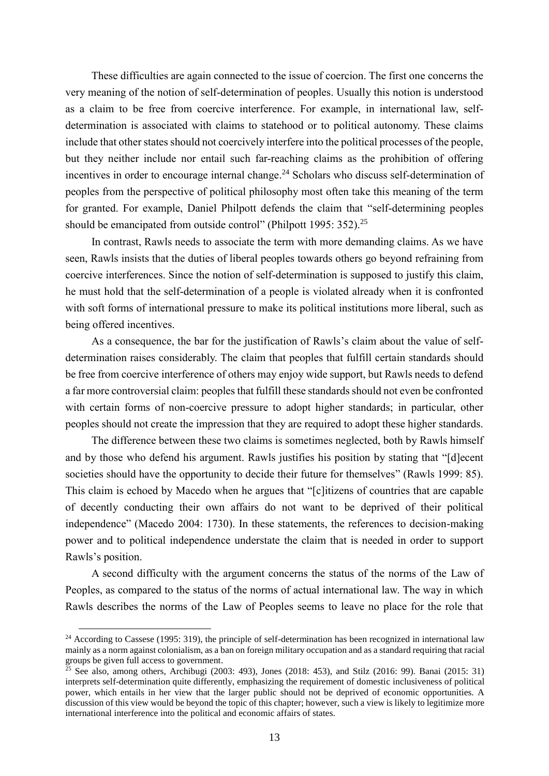These difficulties are again connected to the issue of coercion. The first one concerns the very meaning of the notion of self-determination of peoples. Usually this notion is understood as a claim to be free from coercive interference. For example, in international law, selfdetermination is associated with claims to statehood or to political autonomy. These claims include that other states should not coercively interfere into the political processes of the people, but they neither include nor entail such far-reaching claims as the prohibition of offering incentives in order to encourage internal change.<sup>24</sup> Scholars who discuss self-determination of peoples from the perspective of political philosophy most often take this meaning of the term for granted. For example, Daniel Philpott defends the claim that "self-determining peoples should be emancipated from outside control" (Philpott 1995: 352).<sup>25</sup>

In contrast, Rawls needs to associate the term with more demanding claims. As we have seen, Rawls insists that the duties of liberal peoples towards others go beyond refraining from coercive interferences. Since the notion of self-determination is supposed to justify this claim, he must hold that the self-determination of a people is violated already when it is confronted with soft forms of international pressure to make its political institutions more liberal, such as being offered incentives.

As a consequence, the bar for the justification of Rawls's claim about the value of selfdetermination raises considerably. The claim that peoples that fulfill certain standards should be free from coercive interference of others may enjoy wide support, but Rawls needs to defend a far more controversial claim: peoples that fulfill these standards should not even be confronted with certain forms of non-coercive pressure to adopt higher standards; in particular, other peoples should not create the impression that they are required to adopt these higher standards.

The difference between these two claims is sometimes neglected, both by Rawls himself and by those who defend his argument. Rawls justifies his position by stating that "[d]ecent societies should have the opportunity to decide their future for themselves" (Rawls 1999: 85). This claim is echoed by Macedo when he argues that "[c]itizens of countries that are capable of decently conducting their own affairs do not want to be deprived of their political independence" (Macedo 2004: 1730). In these statements, the references to decision-making power and to political independence understate the claim that is needed in order to support Rawls's position.

A second difficulty with the argument concerns the status of the norms of the Law of Peoples, as compared to the status of the norms of actual international law. The way in which Rawls describes the norms of the Law of Peoples seems to leave no place for the role that

 $24$  According to Cassese (1995: 319), the principle of self-determination has been recognized in international law mainly as a norm against colonialism, as a ban on foreign military occupation and as a standard requiring that racial groups be given full access to government.

<sup>&</sup>lt;sup>25</sup> See also, among others, Archibugi (2003: 493), Jones (2018: 453), and Stilz (2016: 99). Banai (2015: 31) interprets self-determination quite differently, emphasizing the requirement of domestic inclusiveness of political power, which entails in her view that the larger public should not be deprived of economic opportunities. A discussion of this view would be beyond the topic of this chapter; however, such a view is likely to legitimize more international interference into the political and economic affairs of states.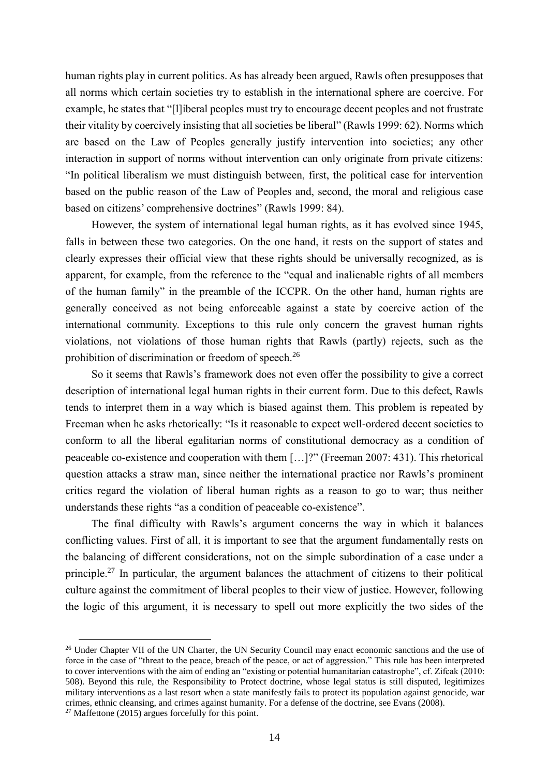human rights play in current politics. As has already been argued, Rawls often presupposes that all norms which certain societies try to establish in the international sphere are coercive. For example, he states that "[l]iberal peoples must try to encourage decent peoples and not frustrate their vitality by coercively insisting that all societies be liberal" (Rawls 1999: 62). Norms which are based on the Law of Peoples generally justify intervention into societies; any other interaction in support of norms without intervention can only originate from private citizens: "In political liberalism we must distinguish between, first, the political case for intervention based on the public reason of the Law of Peoples and, second, the moral and religious case based on citizens' comprehensive doctrines" (Rawls 1999: 84).

However, the system of international legal human rights, as it has evolved since 1945, falls in between these two categories. On the one hand, it rests on the support of states and clearly expresses their official view that these rights should be universally recognized, as is apparent, for example, from the reference to the "equal and inalienable rights of all members of the human family" in the preamble of the ICCPR. On the other hand, human rights are generally conceived as not being enforceable against a state by coercive action of the international community. Exceptions to this rule only concern the gravest human rights violations, not violations of those human rights that Rawls (partly) rejects, such as the prohibition of discrimination or freedom of speech.<sup>26</sup>

So it seems that Rawls's framework does not even offer the possibility to give a correct description of international legal human rights in their current form. Due to this defect, Rawls tends to interpret them in a way which is biased against them. This problem is repeated by Freeman when he asks rhetorically: "Is it reasonable to expect well-ordered decent societies to conform to all the liberal egalitarian norms of constitutional democracy as a condition of peaceable co-existence and cooperation with them […]?" (Freeman 2007: 431). This rhetorical question attacks a straw man, since neither the international practice nor Rawls's prominent critics regard the violation of liberal human rights as a reason to go to war; thus neither understands these rights "as a condition of peaceable co-existence".

The final difficulty with Rawls's argument concerns the way in which it balances conflicting values. First of all, it is important to see that the argument fundamentally rests on the balancing of different considerations, not on the simple subordination of a case under a principle.<sup>27</sup> In particular, the argument balances the attachment of citizens to their political culture against the commitment of liberal peoples to their view of justice. However, following the logic of this argument, it is necessary to spell out more explicitly the two sides of the

<sup>&</sup>lt;sup>26</sup> Under Chapter VII of the UN Charter, the UN Security Council may enact economic sanctions and the use of force in the case of "threat to the peace, breach of the peace, or act of aggression." This rule has been interpreted to cover interventions with the aim of ending an "existing or potential humanitarian catastrophe", cf. Zifcak (2010: 508). Beyond this rule, the Responsibility to Protect doctrine, whose legal status is still disputed, legitimizes military interventions as a last resort when a state manifestly fails to protect its population against genocide, war crimes, ethnic cleansing, and crimes against humanity. For a defense of the doctrine, see Evans (2008).

 $27$  Maffettone (2015) argues forcefully for this point.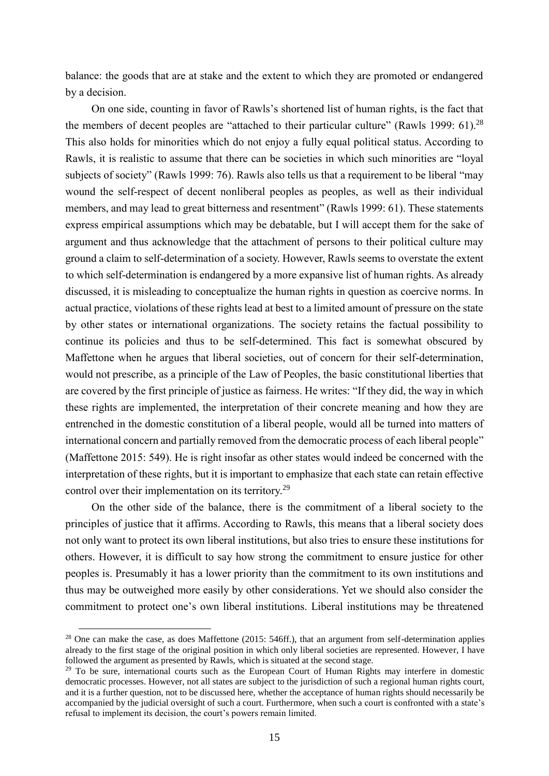balance: the goods that are at stake and the extent to which they are promoted or endangered by a decision.

On one side, counting in favor of Rawls's shortened list of human rights, is the fact that the members of decent peoples are "attached to their particular culture" (Rawls 1999: 61).<sup>28</sup> This also holds for minorities which do not enjoy a fully equal political status. According to Rawls, it is realistic to assume that there can be societies in which such minorities are "loyal subjects of society" (Rawls 1999: 76). Rawls also tells us that a requirement to be liberal "may wound the self-respect of decent nonliberal peoples as peoples, as well as their individual members, and may lead to great bitterness and resentment" (Rawls 1999: 61). These statements express empirical assumptions which may be debatable, but I will accept them for the sake of argument and thus acknowledge that the attachment of persons to their political culture may ground a claim to self-determination of a society. However, Rawls seems to overstate the extent to which self-determination is endangered by a more expansive list of human rights. As already discussed, it is misleading to conceptualize the human rights in question as coercive norms. In actual practice, violations of these rights lead at best to a limited amount of pressure on the state by other states or international organizations. The society retains the factual possibility to continue its policies and thus to be self-determined. This fact is somewhat obscured by Maffettone when he argues that liberal societies, out of concern for their self-determination, would not prescribe, as a principle of the Law of Peoples, the basic constitutional liberties that are covered by the first principle of justice as fairness. He writes: "If they did, the way in which these rights are implemented, the interpretation of their concrete meaning and how they are entrenched in the domestic constitution of a liberal people, would all be turned into matters of international concern and partially removed from the democratic process of each liberal people" (Maffettone 2015: 549). He is right insofar as other states would indeed be concerned with the interpretation of these rights, but it is important to emphasize that each state can retain effective control over their implementation on its territory.<sup>29</sup>

On the other side of the balance, there is the commitment of a liberal society to the principles of justice that it affirms. According to Rawls, this means that a liberal society does not only want to protect its own liberal institutions, but also tries to ensure these institutions for others. However, it is difficult to say how strong the commitment to ensure justice for other peoples is. Presumably it has a lower priority than the commitment to its own institutions and thus may be outweighed more easily by other considerations. Yet we should also consider the commitment to protect one's own liberal institutions. Liberal institutions may be threatened

<sup>&</sup>lt;sup>28</sup> One can make the case, as does Maffettone (2015: 546ff.), that an argument from self-determination applies already to the first stage of the original position in which only liberal societies are represented. However, I have followed the argument as presented by Rawls, which is situated at the second stage.

<sup>&</sup>lt;sup>29</sup> To be sure, international courts such as the European Court of Human Rights may interfere in domestic democratic processes. However, not all states are subject to the jurisdiction of such a regional human rights court, and it is a further question, not to be discussed here, whether the acceptance of human rights should necessarily be accompanied by the judicial oversight of such a court. Furthermore, when such a court is confronted with a state's refusal to implement its decision, the court's powers remain limited.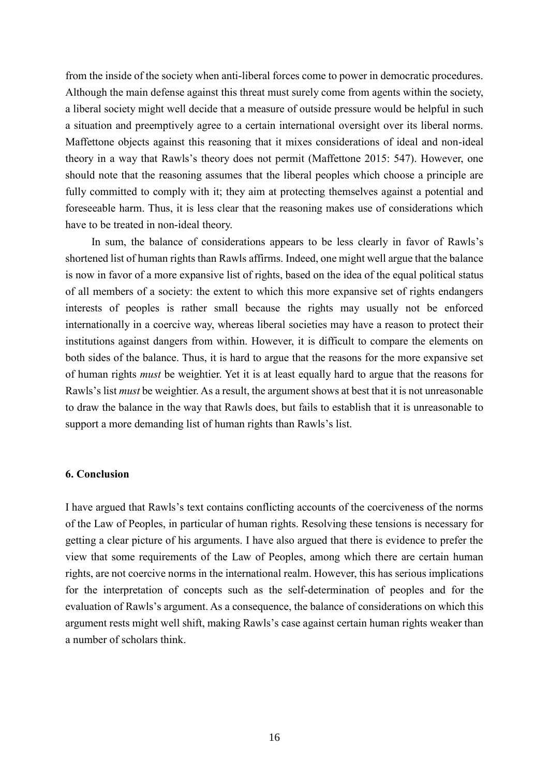from the inside of the society when anti-liberal forces come to power in democratic procedures. Although the main defense against this threat must surely come from agents within the society, a liberal society might well decide that a measure of outside pressure would be helpful in such a situation and preemptively agree to a certain international oversight over its liberal norms. Maffettone objects against this reasoning that it mixes considerations of ideal and non-ideal theory in a way that Rawls's theory does not permit (Maffettone 2015: 547). However, one should note that the reasoning assumes that the liberal peoples which choose a principle are fully committed to comply with it; they aim at protecting themselves against a potential and foreseeable harm. Thus, it is less clear that the reasoning makes use of considerations which have to be treated in non-ideal theory.

In sum, the balance of considerations appears to be less clearly in favor of Rawls's shortened list of human rights than Rawls affirms. Indeed, one might well argue that the balance is now in favor of a more expansive list of rights, based on the idea of the equal political status of all members of a society: the extent to which this more expansive set of rights endangers interests of peoples is rather small because the rights may usually not be enforced internationally in a coercive way, whereas liberal societies may have a reason to protect their institutions against dangers from within. However, it is difficult to compare the elements on both sides of the balance. Thus, it is hard to argue that the reasons for the more expansive set of human rights *must* be weightier. Yet it is at least equally hard to argue that the reasons for Rawls's list *must* be weightier. As a result, the argument shows at best that it is not unreasonable to draw the balance in the way that Rawls does, but fails to establish that it is unreasonable to support a more demanding list of human rights than Rawls's list.

### **6. Conclusion**

I have argued that Rawls's text contains conflicting accounts of the coerciveness of the norms of the Law of Peoples, in particular of human rights. Resolving these tensions is necessary for getting a clear picture of his arguments. I have also argued that there is evidence to prefer the view that some requirements of the Law of Peoples, among which there are certain human rights, are not coercive norms in the international realm. However, this has serious implications for the interpretation of concepts such as the self-determination of peoples and for the evaluation of Rawls's argument. As a consequence, the balance of considerations on which this argument rests might well shift, making Rawls's case against certain human rights weaker than a number of scholars think.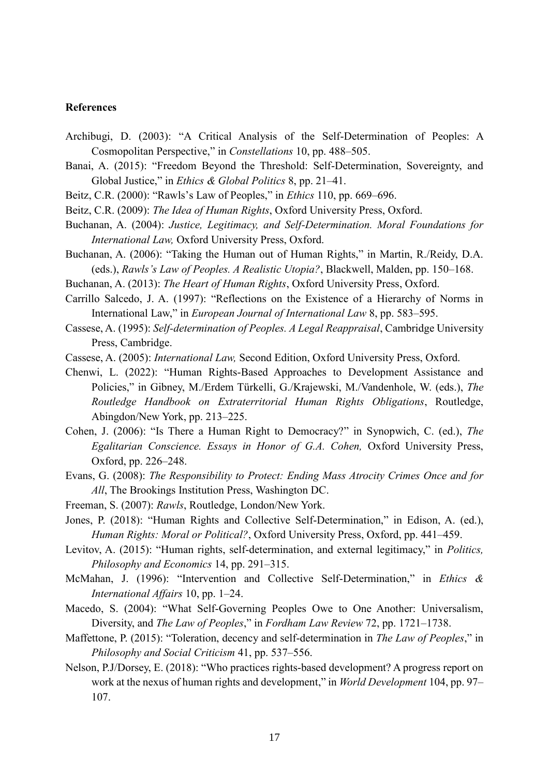### **References**

- Archibugi, D. (2003): "A Critical Analysis of the Self-Determination of Peoples: A Cosmopolitan Perspective," in *Constellations* 10, pp. 488–505.
- Banai, A. (2015): "Freedom Beyond the Threshold: Self-Determination, Sovereignty, and Global Justice," in *Ethics & Global Politics* 8, pp. 21–41.
- Beitz, C.R. (2000): "Rawls's Law of Peoples," in *Ethics* 110, pp. 669–696.
- Beitz, C.R. (2009): *The Idea of Human Rights*, Oxford University Press, Oxford.
- Buchanan, A. (2004): *Justice, Legitimacy, and Self-Determination. Moral Foundations for International Law,* Oxford University Press, Oxford.
- Buchanan, A. (2006): "Taking the Human out of Human Rights," in Martin, R./Reidy, D.A. (eds.), *Rawls's Law of Peoples. A Realistic Utopia?*, Blackwell, Malden, pp. 150–168.
- Buchanan, A. (2013): *The Heart of Human Rights*, Oxford University Press, Oxford.
- Carrillo Salcedo, J. A. (1997): "Reflections on the Existence of a Hierarchy of Norms in International Law," in *European Journal of International Law* 8, pp. 583–595.
- Cassese, A. (1995): *Self-determination of Peoples. A Legal Reappraisal*, Cambridge University Press, Cambridge.
- Cassese, A. (2005): *International Law,* Second Edition, Oxford University Press, Oxford.
- Chenwi, L. (2022): "Human Rights-Based Approaches to Development Assistance and Policies," in Gibney, M./Erdem Türkelli, G./Krajewski, M./Vandenhole, W. (eds.), *The Routledge Handbook on Extraterritorial Human Rights Obligations*, Routledge, Abingdon/New York, pp. 213–225.
- Cohen, J. (2006): "Is There a Human Right to Democracy?" in Synopwich, C. (ed.), *The Egalitarian Conscience. Essays in Honor of G.A. Cohen,* Oxford University Press, Oxford, pp. 226–248.
- Evans, G. (2008): *The Responsibility to Protect: Ending Mass Atrocity Crimes Once and for All*, The Brookings Institution Press, Washington DC.
- Freeman, S. (2007): *Rawls*, Routledge, London/New York.
- Jones, P. (2018): "Human Rights and Collective Self-Determination," in Edison, A. (ed.), *Human Rights: Moral or Political?*, Oxford University Press, Oxford, pp. 441–459.
- Levitov, A. (2015): "Human rights, self-determination, and external legitimacy," in *Politics, Philosophy and Economics* 14, pp. 291–315.
- McMahan, J. (1996): "Intervention and Collective Self-Determination," in *Ethics & International Affairs* 10, pp. 1–24.
- Macedo, S. (2004): "What Self-Governing Peoples Owe to One Another: Universalism, Diversity, and *The Law of Peoples*," in *Fordham Law Review* 72, pp. 1721–1738.
- Maffettone, P. (2015): "Toleration, decency and self-determination in *The Law of Peoples*," in *Philosophy and Social Criticism* 41, pp. 537–556.
- Nelson, P.J/Dorsey, E. (2018): "Who practices rights-based development? A progress report on work at the nexus of human rights and development," in *World Development* 104, pp. 97– 107.